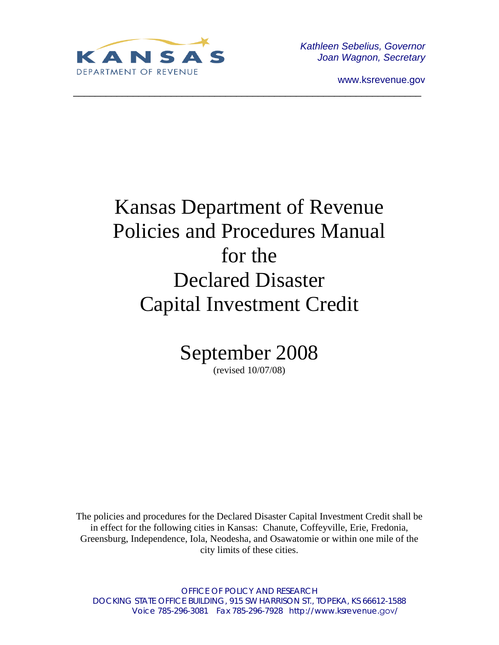

*Kathleen Sebelius, Governor Joan Wagnon, Secretary* 

www.ksrevenue.gov

# Kansas Department of Revenue Policies and Procedures Manual for the Declared Disaster Capital Investment Credit

\_\_\_\_\_\_\_\_\_\_\_\_\_\_\_\_\_\_\_\_\_\_\_\_\_\_\_\_\_\_\_\_\_\_\_\_\_\_\_\_\_\_\_\_\_\_\_\_\_\_\_\_\_\_\_\_\_\_\_\_\_\_\_\_

September 2008

(revised 10/07/08)

The policies and procedures for the Declared Disaster Capital Investment Credit shall be in effect for the following cities in Kansas: Chanute, Coffeyville, Erie, Fredonia, Greensburg, Independence, Iola, Neodesha, and Osawatomie or within one mile of the city limits of these cities.

OFFICE OF POLICY AND RESEARCH DOCKING STATE OFFICE BUILDING, 915 SW HARRISON ST., TOPEKA, KS 66612-1588 Voice 785-296-3081 Fax 785-296-7928 http://www.ksrevenue.gov/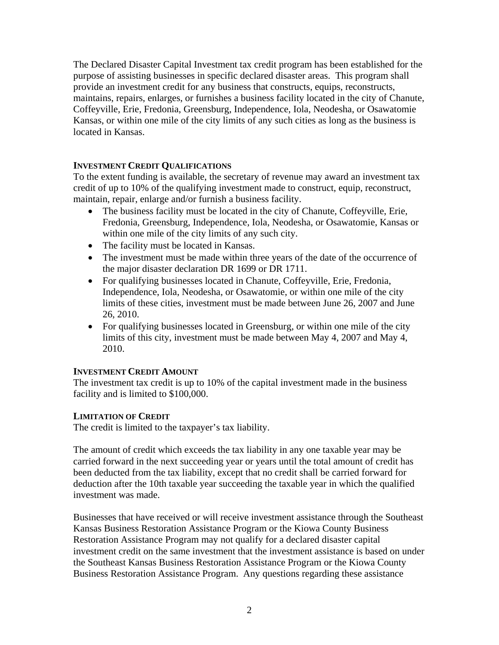The Declared Disaster Capital Investment tax credit program has been established for the purpose of assisting businesses in specific declared disaster areas. This program shall provide an investment credit for any business that constructs, equips, reconstructs, maintains, repairs, enlarges, or furnishes a business facility located in the city of Chanute, Coffeyville, Erie, Fredonia, Greensburg, Independence, Iola, Neodesha, or Osawatomie Kansas, or within one mile of the city limits of any such cities as long as the business is located in Kansas.

# **INVESTMENT CREDIT QUALIFICATIONS**

To the extent funding is available, the secretary of revenue may award an investment tax credit of up to 10% of the qualifying investment made to construct, equip, reconstruct, maintain, repair, enlarge and/or furnish a business facility.

- The business facility must be located in the city of Chanute, Coffeyville, Erie, Fredonia, Greensburg, Independence, Iola, Neodesha, or Osawatomie, Kansas or within one mile of the city limits of any such city.
- The facility must be located in Kansas.
- The investment must be made within three years of the date of the occurrence of the major disaster declaration DR 1699 or DR 1711.
- For qualifying businesses located in Chanute, Coffeyville, Erie, Fredonia, Independence, Iola, Neodesha, or Osawatomie, or within one mile of the city limits of these cities, investment must be made between June 26, 2007 and June 26, 2010.
- For qualifying businesses located in Greensburg, or within one mile of the city limits of this city, investment must be made between May 4, 2007 and May 4, 2010.

#### **INVESTMENT CREDIT AMOUNT**

The investment tax credit is up to 10% of the capital investment made in the business facility and is limited to \$100,000.

#### **LIMITATION OF CREDIT**

The credit is limited to the taxpayer's tax liability.

The amount of credit which exceeds the tax liability in any one taxable year may be carried forward in the next succeeding year or years until the total amount of credit has been deducted from the tax liability, except that no credit shall be carried forward for deduction after the 10th taxable year succeeding the taxable year in which the qualified investment was made.

Businesses that have received or will receive investment assistance through the Southeast Kansas Business Restoration Assistance Program or the Kiowa County Business Restoration Assistance Program may not qualify for a declared disaster capital investment credit on the same investment that the investment assistance is based on under the Southeast Kansas Business Restoration Assistance Program or the Kiowa County Business Restoration Assistance Program. Any questions regarding these assistance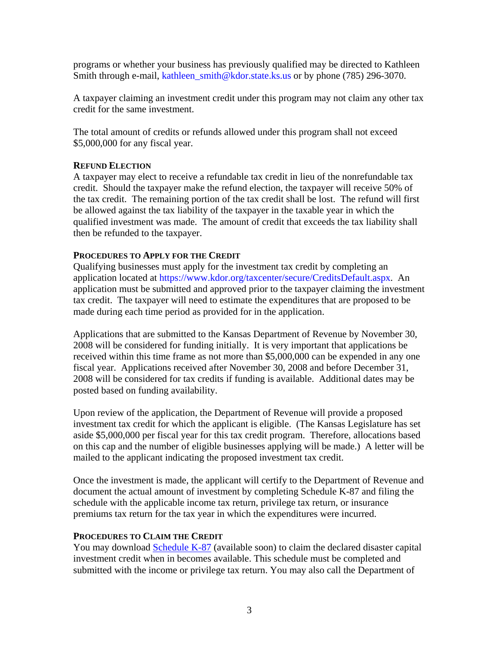programs or whether your business has previously qualified may be directed to Kathleen Smith through e-mail, [kathleen\\_smith@kdor.state.ks.us](mailto:kathleen_smith@kdor.state.ks.us) or by phone (785) 296-3070.

A taxpayer claiming an investment credit under this program may not claim any other tax credit for the same investment.

The total amount of credits or refunds allowed under this program shall not exceed \$5,000,000 for any fiscal year.

## **REFUND ELECTION**

A taxpayer may elect to receive a refundable tax credit in lieu of the nonrefundable tax credit. Should the taxpayer make the refund election, the taxpayer will receive 50% of the tax credit. The remaining portion of the tax credit shall be lost. The refund will first be allowed against the tax liability of the taxpayer in the taxable year in which the qualified investment was made. The amount of credit that exceeds the tax liability shall then be refunded to the taxpayer.

## **PROCEDURES TO APPLY FOR THE CREDIT**

Qualifying businesses must apply for the investment tax credit by completing an application located at https://www.kdor.org/taxcenter/secure/CreditsDefault.aspx. An application must be submitted and approved prior to the taxpayer claiming the investment tax credit. The taxpayer will need to estimate the expenditures that are proposed to be made during each time period as provided for in the application.

Applications that are submitted to the Kansas Department of Revenue by November 30, 2008 will be considered for funding initially. It is very important that applications be received within this time frame as not more than \$5,000,000 can be expended in any one fiscal year. Applications received after November 30, 2008 and before December 31, 2008 will be considered for tax credits if funding is available. Additional dates may be posted based on funding availability.

Upon review of the application, the Department of Revenue will provide a proposed investment tax credit for which the applicant is eligible. (The Kansas Legislature has set aside \$5,000,000 per fiscal year for this tax credit program. Therefore, allocations based on this cap and the number of eligible businesses applying will be made.) A letter will be mailed to the applicant indicating the proposed investment tax credit.

Once the investment is made, the applicant will certify to the Department of Revenue and document the actual amount of investment by completing Schedule K-87 and filing the schedule with the applicable income tax return, privilege tax return, or insurance premiums tax return for the tax year in which the expenditures were incurred.

#### **PROCEDURES TO CLAIM THE CREDIT**

You may download Schedule K-87 (available soon) to claim the declared disaster capital investment credit when in becomes available. This schedule must be completed and submitted with the income or privilege tax return. You may also call the Department of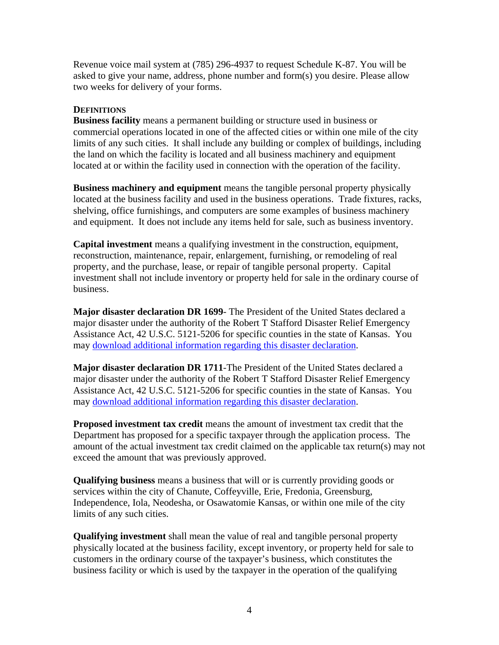Revenue voice mail system at (785) 296-4937 to request Schedule K-87. You will be asked to give your name, address, phone number and form(s) you desire. Please allow two weeks for delivery of your forms.

## **DEFINITIONS**

**Business facility** means a permanent building or structure used in business or commercial operations located in one of the affected cities or within one mile of the city limits of any such cities. It shall include any building or complex of buildings, including the land on which the facility is located and all business machinery and equipment located at or within the facility used in connection with the operation of the facility.

**Business machinery and equipment** means the tangible personal property physically located at the business facility and used in the business operations. Trade fixtures, racks, shelving, office furnishings, and computers are some examples of business machinery and equipment. It does not include any items held for sale, such as business inventory.

**Capital investment** means a qualifying investment in the construction, equipment, reconstruction, maintenance, repair, enlargement, furnishing, or remodeling of real property, and the purchase, lease, or repair of tangible personal property. Capital investment shall not include inventory or property held for sale in the ordinary course of business.

**Major disaster declaration DR 1699**- The President of the United States declared a major disaster under the authority of the Robert T Stafford Disaster Relief Emergency Assistance Act, 42 U.S.C. 5121-5206 for specific counties in the state of Kansas. You may [download additional information regarding this disaster declaration.](http://www.fema.gov/news/event.fema?id=8005)

**Major disaster declaration DR 1711**-The President of the United States declared a major disaster under the authority of the Robert T Stafford Disaster Relief Emergency Assistance Act, 42 U.S.C. 5121-5206 for specific counties in the state of Kansas. You may [download additional information regarding this disaster declaration.](http://www.fema.gov/news/event.fema?id=8325)

**Proposed investment tax credit** means the amount of investment tax credit that the Department has proposed for a specific taxpayer through the application process. The amount of the actual investment tax credit claimed on the applicable tax return(s) may not exceed the amount that was previously approved.

**Qualifying business** means a business that will or is currently providing goods or services within the city of Chanute, Coffeyville, Erie, Fredonia, Greensburg, Independence, Iola, Neodesha, or Osawatomie Kansas, or within one mile of the city limits of any such cities.

**Qualifying investment** shall mean the value of real and tangible personal property physically located at the business facility, except inventory, or property held for sale to customers in the ordinary course of the taxpayer's business, which constitutes the business facility or which is used by the taxpayer in the operation of the qualifying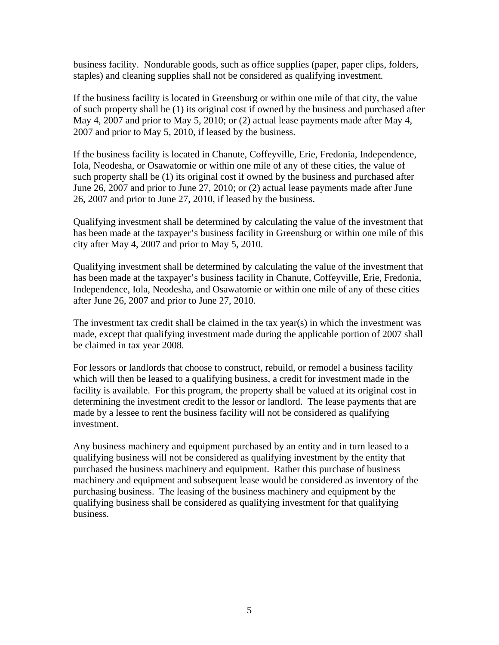business facility. Nondurable goods, such as office supplies (paper, paper clips, folders, staples) and cleaning supplies shall not be considered as qualifying investment.

If the business facility is located in Greensburg or within one mile of that city, the value of such property shall be (1) its original cost if owned by the business and purchased after May 4, 2007 and prior to May 5, 2010; or (2) actual lease payments made after May 4, 2007 and prior to May 5, 2010, if leased by the business.

If the business facility is located in Chanute, Coffeyville, Erie, Fredonia, Independence, Iola, Neodesha, or Osawatomie or within one mile of any of these cities, the value of such property shall be (1) its original cost if owned by the business and purchased after June 26, 2007 and prior to June 27, 2010; or (2) actual lease payments made after June 26, 2007 and prior to June 27, 2010, if leased by the business.

Qualifying investment shall be determined by calculating the value of the investment that has been made at the taxpayer's business facility in Greensburg or within one mile of this city after May 4, 2007 and prior to May 5, 2010.

Qualifying investment shall be determined by calculating the value of the investment that has been made at the taxpayer's business facility in Chanute, Coffeyville, Erie, Fredonia, Independence, Iola, Neodesha, and Osawatomie or within one mile of any of these cities after June 26, 2007 and prior to June 27, 2010.

The investment tax credit shall be claimed in the tax year(s) in which the investment was made, except that qualifying investment made during the applicable portion of 2007 shall be claimed in tax year 2008.

For lessors or landlords that choose to construct, rebuild, or remodel a business facility which will then be leased to a qualifying business, a credit for investment made in the facility is available. For this program, the property shall be valued at its original cost in determining the investment credit to the lessor or landlord. The lease payments that are made by a lessee to rent the business facility will not be considered as qualifying investment.

Any business machinery and equipment purchased by an entity and in turn leased to a qualifying business will not be considered as qualifying investment by the entity that purchased the business machinery and equipment. Rather this purchase of business machinery and equipment and subsequent lease would be considered as inventory of the purchasing business. The leasing of the business machinery and equipment by the qualifying business shall be considered as qualifying investment for that qualifying business.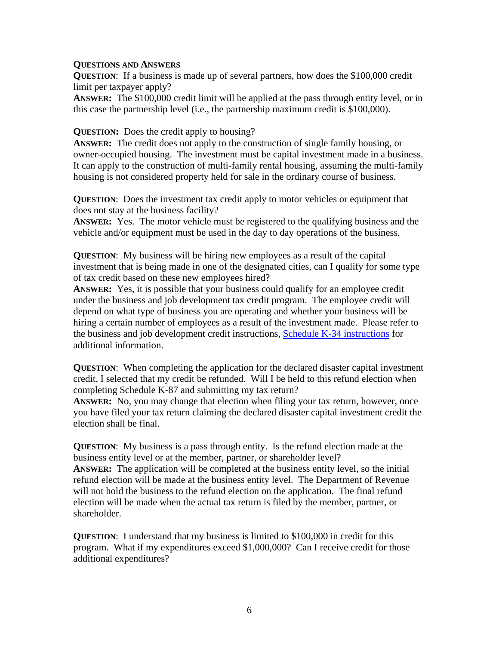#### **QUESTIONS AND ANSWERS**

**QUESTION**: If a business is made up of several partners, how does the \$100,000 credit limit per taxpayer apply?

**ANSWER:** The \$100,000 credit limit will be applied at the pass through entity level, or in this case the partnership level (i.e., the partnership maximum credit is \$100,000).

#### **QUESTION:** Does the credit apply to housing?

**ANSWER:** The credit does not apply to the construction of single family housing, or owner-occupied housing. The investment must be capital investment made in a business. It can apply to the construction of multi-family rental housing, assuming the multi-family housing is not considered property held for sale in the ordinary course of business.

**QUESTION**: Does the investment tax credit apply to motor vehicles or equipment that does not stay at the business facility?

**ANSWER:** Yes. The motor vehicle must be registered to the qualifying business and the vehicle and/or equipment must be used in the day to day operations of the business.

**QUESTION**: My business will be hiring new employees as a result of the capital investment that is being made in one of the designated cities, can I qualify for some type of tax credit based on these new employees hired?

**ANSWER:** Yes, it is possible that your business could qualify for an employee credit under the business and job development tax credit program. The employee credit will depend on what type of business you are operating and whether your business will be hiring a certain number of employees as a result of the investment made. Please refer to the business and job development credit instructions, [Schedule K-34 instructions](http://www.ksrevenue.org/pdf/forms/k-34.pdf) for additional information.

**QUESTION:** When completing the application for the declared disaster capital investment credit, I selected that my credit be refunded. Will I be held to this refund election when completing Schedule K-87 and submitting my tax return?

**ANSWER:** No, you may change that election when filing your tax return, however, once you have filed your tax return claiming the declared disaster capital investment credit the election shall be final.

**QUESTION**: My business is a pass through entity. Is the refund election made at the business entity level or at the member, partner, or shareholder level? **ANSWER:** The application will be completed at the business entity level, so the initial refund election will be made at the business entity level. The Department of Revenue will not hold the business to the refund election on the application. The final refund election will be made when the actual tax return is filed by the member, partner, or shareholder.

**QUESTION**: I understand that my business is limited to \$100,000 in credit for this program. What if my expenditures exceed \$1,000,000? Can I receive credit for those additional expenditures?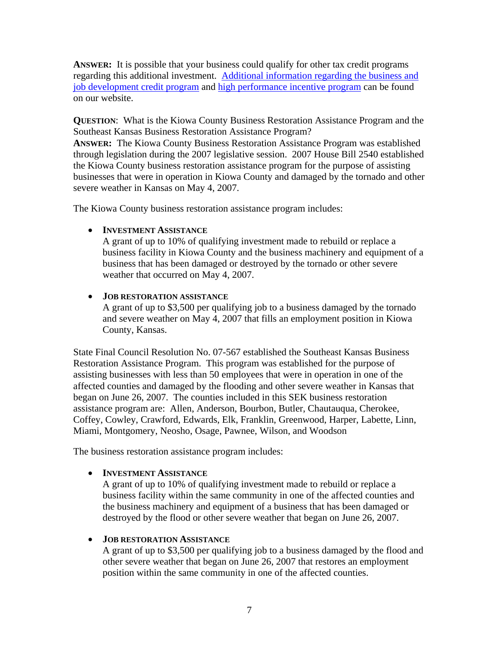**ANSWER:** It is possible that your business could qualify for other tax credit programs regarding this additional investment. [Additional information regarding the business and](http://www.ksrevenue.org/taxcredits-busjob.htm#entzoneind)  [job development credit program](http://www.ksrevenue.org/taxcredits-busjob.htm#entzoneind) and [high performance incentive program](http://www.ksrevenue.org/taxcredits-hpip.htm) can be found on our website.

**QUESTION**: What is the Kiowa County Business Restoration Assistance Program and the Southeast Kansas Business Restoration Assistance Program? **ANSWER:** The Kiowa County Business Restoration Assistance Program was established

through legislation during the 2007 legislative session. 2007 House Bill 2540 established the Kiowa County business restoration assistance program for the purpose of assisting businesses that were in operation in Kiowa County and damaged by the tornado and other severe weather in Kansas on May 4, 2007.

The Kiowa County business restoration assistance program includes:

# • **INVESTMENT ASSISTANCE**

A grant of up to 10% of qualifying investment made to rebuild or replace a business facility in Kiowa County and the business machinery and equipment of a business that has been damaged or destroyed by the tornado or other severe weather that occurred on May 4, 2007.

# • **JOB RESTORATION ASSISTANCE**

A grant of up to \$3,500 per qualifying job to a business damaged by the tornado and severe weather on May 4, 2007 that fills an employment position in Kiowa County, Kansas.

State Final Council Resolution No. 07-567 established the Southeast Kansas Business Restoration Assistance Program. This program was established for the purpose of assisting businesses with less than 50 employees that were in operation in one of the affected counties and damaged by the flooding and other severe weather in Kansas that began on June 26, 2007. The counties included in this SEK business restoration assistance program are: Allen, Anderson, Bourbon, Butler, Chautauqua, Cherokee, Coffey, Cowley, Crawford, Edwards, Elk, Franklin, Greenwood, Harper, Labette, Linn, Miami, Montgomery, Neosho, Osage, Pawnee, Wilson, and Woodson

The business restoration assistance program includes:

# • **INVESTMENT ASSISTANCE**

A grant of up to 10% of qualifying investment made to rebuild or replace a business facility within the same community in one of the affected counties and the business machinery and equipment of a business that has been damaged or destroyed by the flood or other severe weather that began on June 26, 2007.

# • **JOB RESTORATION ASSISTANCE**

A grant of up to \$3,500 per qualifying job to a business damaged by the flood and other severe weather that began on June 26, 2007 that restores an employment position within the same community in one of the affected counties.